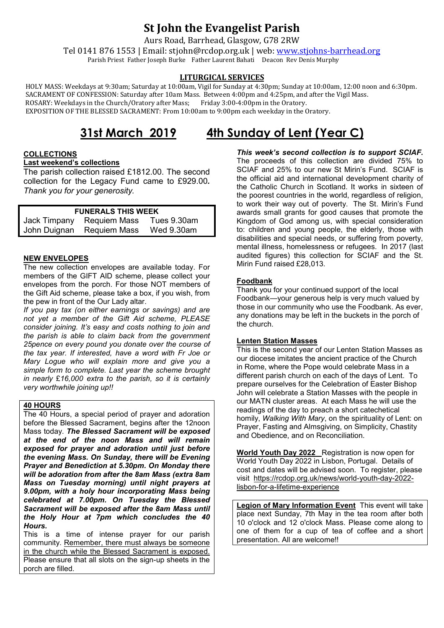# **St John the Evangelist Parish**

Aurs Road, Barrhead, Glasgow, G78 2RW

Tel 0141 876 1553 | Email: stjohn@rcdop.org.uk | web: [www.stjohns-barrhead.org](http://www.stjohns-barrhead.org/) Parish Priest Father Joseph Burke Father Laurent Bahati Deacon Rev Denis Murphy

# **LITURGICAL SERVICES**

 HOLY MASS: Weekdays at 9:30am; Saturday at 10:00am, Vigil for Sunday at 4:30pm; Sunday at 10:00am, 12:00 noon and 6:30pm. SACRAMENT OF CONFESSION: Saturday after 10am Mass. Between 4:00pm and 4:25pm, and after the Vigil Mass.<br>ROSARY: Weekdays in the Church/Oratory after Mass: Friday 3:00-4:00pm in the Oratory. ROSARY: Weekdays in the Church/Oratory after Mass; EXPOSITION OF THE BLESSED SACRAMENT: From 10:00am to 9:00pm each weekday in the Oratory.

# **31st March 2019 4th Sunday of Lent (Year C)**

## **COLLECTIONS**

### **Last weekend's collections**

The parish collection raised £1812.00. The second collection for the Legacy Fund came to £929.00*. Thank you for your generosity.*

| <b>FUNERALS THIS WEEK</b> |                           |             |
|---------------------------|---------------------------|-------------|
|                           | Jack Timpany Requiem Mass | Tues 9.30am |
|                           | John Duignan Requiem Mass | Wed 9.30am  |

#### **NEW ENVELOPES**

The new collection envelopes are available today. For members of the GIFT AID scheme, please collect your envelopes from the porch. For those NOT members of the Gift Aid scheme, please take a box, if you wish, from the pew in front of the Our Lady altar.

*If you pay tax (on either earnings or savings) and are not yet a member of the Gift Aid scheme, PLEASE consider joining. It's easy and costs nothing to join and the parish is able to claim back from the government 25pence on every pound you donate over the course of the tax year. If interested, have a word with Fr Joe or Mary Logue who will explain more and give you a simple form to complete. Last year the scheme brought in nearly* £*16,000 extra to the parish, so it is certainly very worthwhile joining up!!*

# **40 HOURS**

The 40 Hours, a special period of prayer and adoration before the Blessed Sacrament, begins after the 12noon Mass today. *The Blessed Sacrament will be exposed at the end of the noon Mass and will remain exposed for prayer and adoration until just before the evening Mass. On Sunday, there will be Evening Prayer and Benediction at 5.30pm. On Monday there will be adoration from after the 8am Mass (extra 8am Mass on Tuesday morning) until night prayers at 9.00pm, with a holy hour incorporating Mass being celebrated at 7.00pm. On Tuesday the Blessed Sacrament will be exposed after the 8am Mass until the Holy Hour at 7pm which concludes the 40 Hours.*

This is a time of intense prayer for our parish community. Remember, there must always be someone in the church while the Blessed Sacrament is exposed. Please ensure that all slots on the sign-up sheets in the porch are filled.

The proceeds of this collection are divided 75% to SCIAF and 25% to our new St Mirin's Fund. SCIAF is the official aid and international development charity of the Catholic Church in Scotland. It works in sixteen of the poorest countries in the world, regardless of religion, to work their way out of poverty. The St. Mirin's Fund awards small grants for good causes that promote the Kingdom of God among us, with special consideration to: children and young people, the elderly, those with disabilities and special needs, or suffering from poverty, mental illness, homelessness or refugees. In 2017 (last audited figures) this collection for SCIAF and the St. Mirin Fund raised £28,013.

# **Foodbank**

Thank you for your continued support of the local Foodbank—your generous help is very much valued by those in our community who use the Foodbank. As ever, any donations may be left in the buckets in the porch of the church.

### **Lenten Station Masses**

This is the second year of our Lenten Station Masses as our diocese imitates the ancient practice of the Church in Rome, where the Pope would celebrate Mass in a different parish church on each of the days of Lent. To prepare ourselves for the Celebration of Easter Bishop John will celebrate a Station Masses with the people in our MATN cluster areas. At each Mass he will use the readings of the day to preach a short catechetical homily, *Walking With Mary*, on the spirituality of Lent: on Prayer, Fasting and Almsgiving, on Simplicity, Chastity and Obedience, and on Reconciliation.

**World Youth Day 2022** Registration is now open for World Youth Day 2022 in Lisbon, Portugal. Details of cost and dates will be advised soon. To register, please visit [https://rcdop.org.uk/news/world-youth-day-2022](https://rcdop.org.uk/news/world-youth-day-2022-lisbon-for-a-lifetime-experience) [lisbon-for-a-lifetime-experience](https://rcdop.org.uk/news/world-youth-day-2022-lisbon-for-a-lifetime-experience)

**Legion of Mary Information Event** This event will take place next Sunday, 7th May in the tea room after both 10 o'clock and 12 o'clock Mass. Please come along to one of them for a cup of tea of coffee and a short presentation. All are welcome!!

# *This week's second collection is to support SCIAF.*